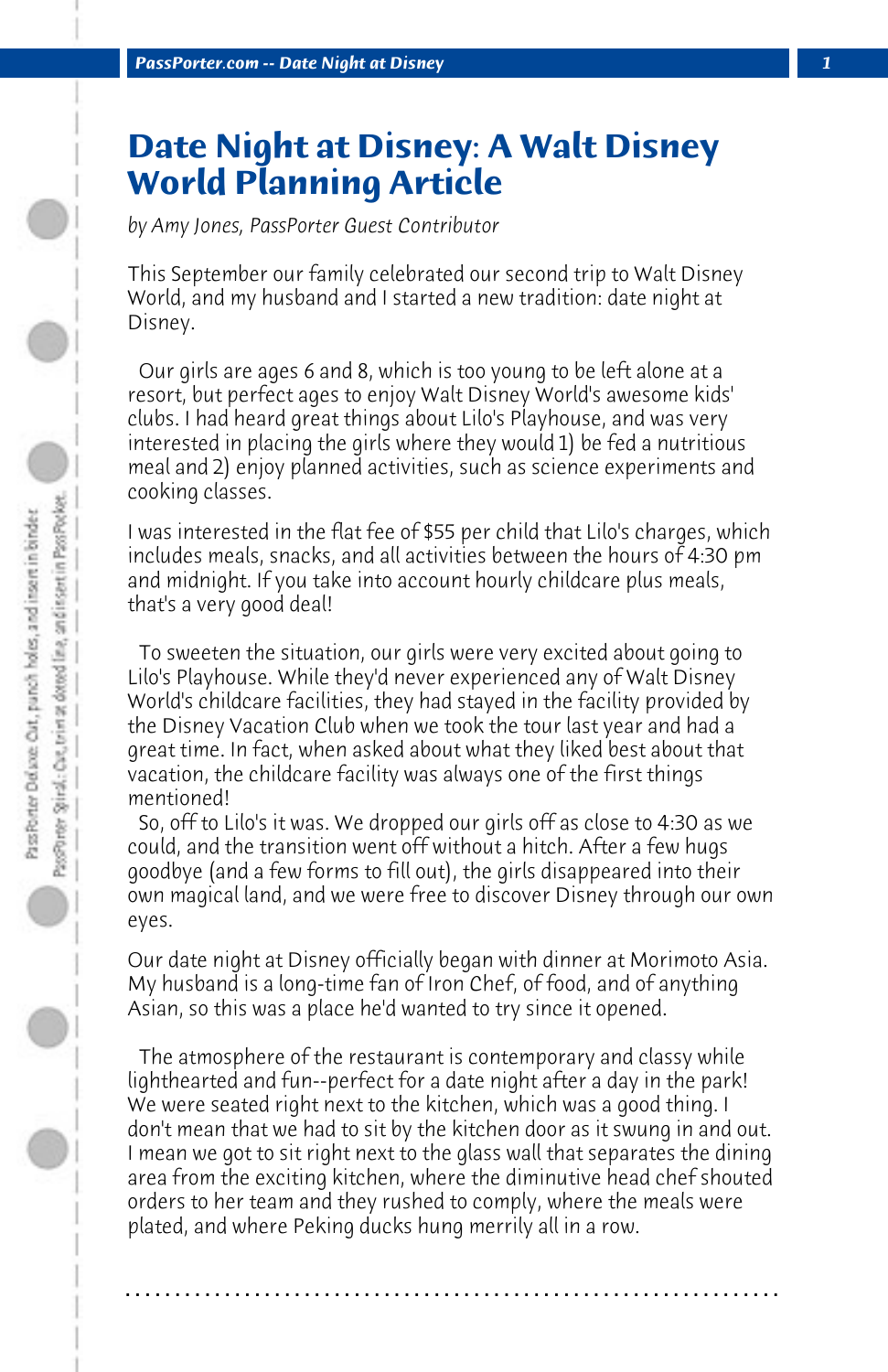## **Date Night at Disney: A Walt Disney World Planning Article**

*by Amy Jones, PassPorter Guest Contributor*

This September our family celebrated our second trip to Walt Disney World, and my husband and I started a new tradition: date night at Disney.

 Our girls are ages 6 and 8, which is too young to be left alone at a resort, but perfect ages to enjoy Walt Disney World's awesome kids' clubs. I had heard great things about Lilo's Playhouse, and was very interested in placing the girls where they would 1) be fed a nutritious meal and 2) enjoy planned activities, such as science experiments and cooking classes.

I was interested in the flat fee of \$55 per child that Lilo's charges, which includes meals, snacks, and all activities between the hours of 4:30 pm and midnight. If you take into account hourly childcare plus meals, that's a very good deal!

 To sweeten the situation, our girls were very excited about going to Lilo's Playhouse. While they'd never experienced any of Walt Disney World's childcare facilities, they had stayed in the facility provided by the Disney Vacation Club when we took the tour last year and had a great time. In fact, when asked about what they liked best about that vacation, the childcare facility was always one of the first things mentioned!

 So, off to Lilo's it was. We dropped our girls off as close to 4:30 as we could, and the transition went off without a hitch. After a few hugs goodbye (and a few forms to fill out), the girls disappeared into their own magical land, and we were free to discover Disney through our own eyes.

Our date night at Disney officially began with dinner at Morimoto Asia. My husband is a long-time fan of Iron Chef, of food, and of anything Asian, so this was a place he'd wanted to try since it opened.

 The atmosphere of the restaurant is contemporary and classy while lighthearted and fun--perfect for a date night after a day in the park! We were seated right next to the kitchen, which was a good thing. I don't mean that we had to sit by the kitchen door as it swung in and out. I mean we got to sit right next to the glass wall that separates the dining area from the exciting kitchen, where the diminutive head chef shouted orders to her team and they rushed to comply, where the meals were plated, and where Peking ducks hung merrily all in a row.

**. . . . . . . . . . . . . . . . . . . . . . . . . . . . . . . . . . . . . . . . . . . . . . . . . . . . . . . . . . . . . . . . . .**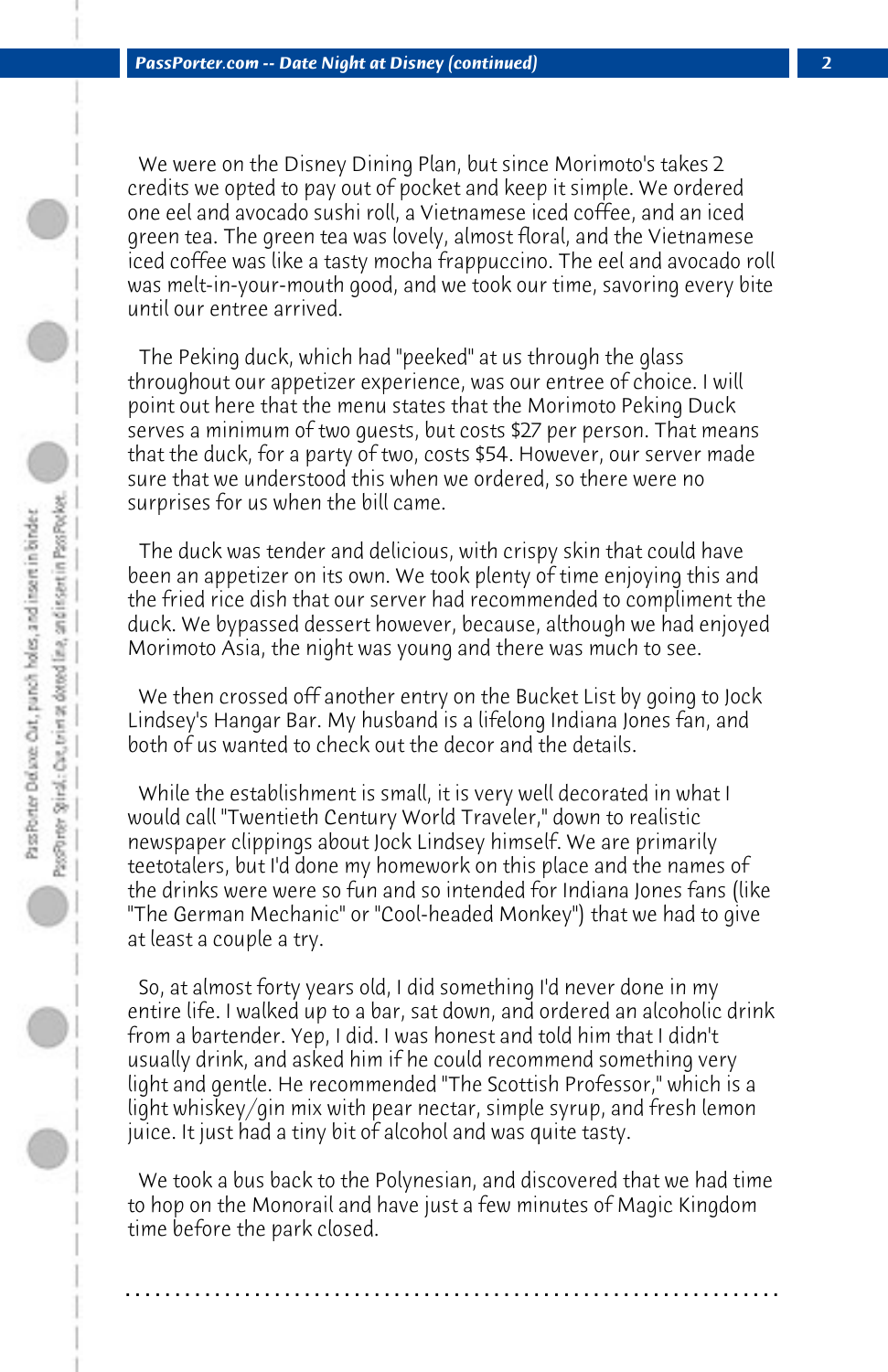We were on the Disney Dining Plan, but since Morimoto's takes 2 credits we opted to pay out of pocket and keep it simple. We ordered one eel and avocado sushi roll, a Vietnamese iced coffee, and an iced green tea. The green tea was lovely, almost floral, and the Vietnamese iced coffee was like a tasty mocha frappuccino. The eel and avocado roll was melt-in-your-mouth good, and we took our time, savoring every bite until our entree arrived.

 The Peking duck, which had "peeked" at us through the glass throughout our appetizer experience, was our entree of choice. I will point out here that the menu states that the Morimoto Peking Duck serves a minimum of two guests, but costs \$27 per person. That means that the duck, for a party of two, costs \$54. However, our server made sure that we understood this when we ordered, so there were no surprises for us when the bill came.

 The duck was tender and delicious, with crispy skin that could have been an appetizer on its own. We took plenty of time enjoying this and the fried rice dish that our server had recommended to compliment the duck. We bypassed dessert however, because, although we had enjoyed Morimoto Asia, the night was young and there was much to see.

 We then crossed off another entry on the Bucket List by going to Jock Lindsey's Hangar Bar. My husband is a lifelong Indiana Jones fan, and both of us wanted to check out the decor and the details.

 While the establishment is small, it is very well decorated in what I would call "Twentieth Century World Traveler," down to realistic newspaper clippings about Jock Lindsey himself. We are primarily teetotalers, but I'd done my homework on this place and the names of the drinks were were so fun and so intended for Indiana Jones fans (like "The German Mechanic" or "Cool-headed Monkey") that we had to give at least a couple a try.

 So, at almost forty years old, I did something I'd never done in my entire life. I walked up to a bar, sat down, and ordered an alcoholic drink from a bartender. Yep, I did. I was honest and told him that I didn't usually drink, and asked him if he could recommend something very light and gentle. He recommended "The Scottish Professor," which is a light whiskey/gin mix with pear nectar, simple syrup, and fresh lemon juice. It just had a tiny bit of alcohol and was quite tasty.

 We took a bus back to the Polynesian, and discovered that we had time to hop on the Monorail and have just a few minutes of Magic Kingdom time before the park closed.

**. . . . . . . . . . . . . . . . . . . . . . . . . . . . . . . . . . . . . . . . . . . . . . . . . . . . . . . . . . . . . . . . . .**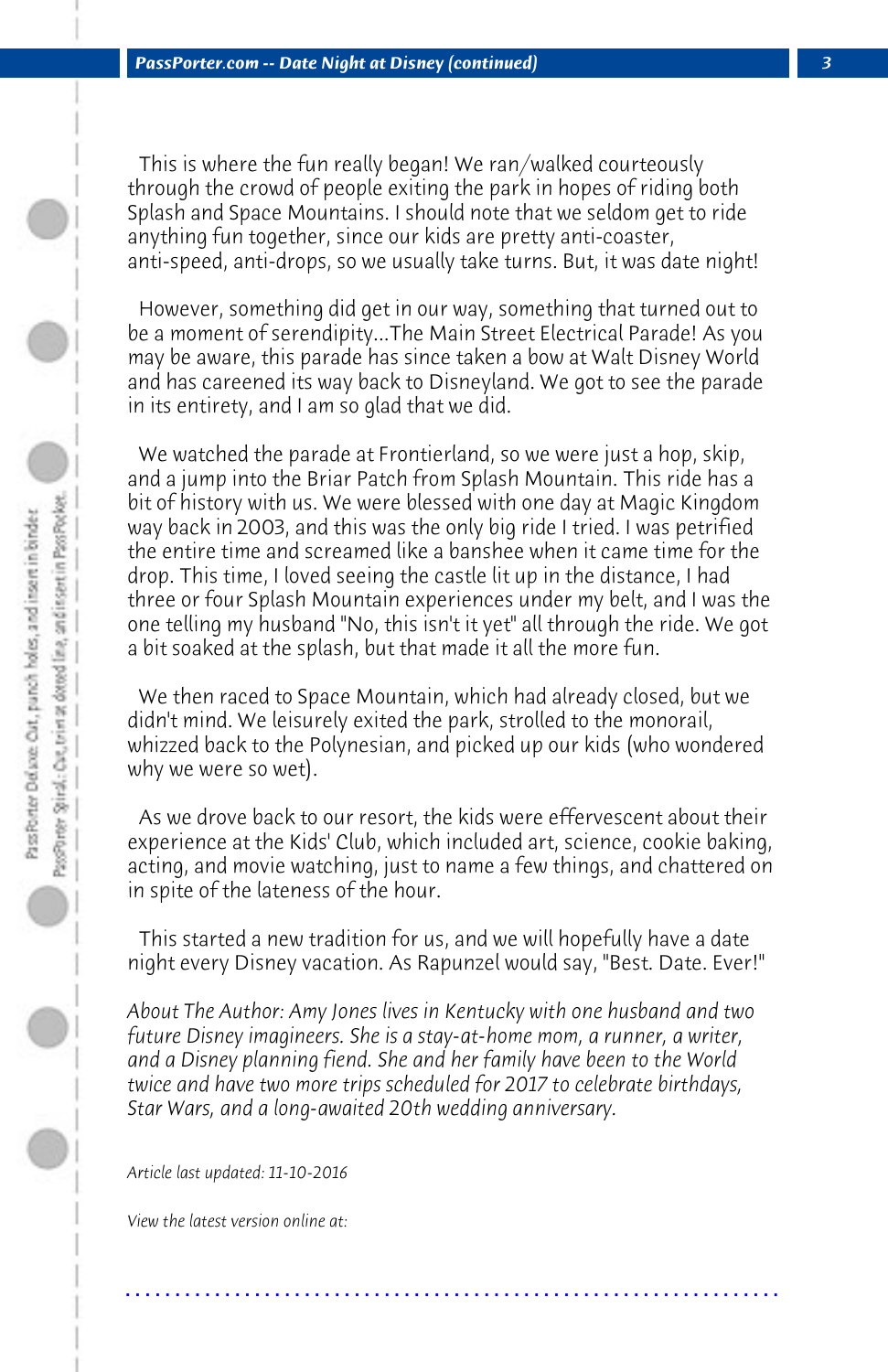This is where the fun really began! We ran/walked courteously through the crowd of people exiting the park in hopes of riding both Splash and Space Mountains. I should note that we seldom get to ride anything fun together, since our kids are pretty anti-coaster, anti-speed, anti-drops, so we usually take turns. But, it was date night!

 However, something did get in our way, something that turned out to be a moment of serendipity...The Main Street Electrical Parade! As you may be aware, this parade has since taken a bow at Walt Disney World and has careened its way back to Disneyland. We got to see the parade in its entirety, and I am so glad that we did.

 We watched the parade at Frontierland, so we were just a hop, skip, and a jump into the Briar Patch from Splash Mountain. This ride has a bit of history with us. We were blessed with one day at Magic Kingdom way back in 2003, and this was the only big ride I tried. I was petrified the entire time and screamed like a banshee when it came time for the drop. This time, I loved seeing the castle lit up in the distance, I had three or four Splash Mountain experiences under my belt, and I was the one telling my husband "No, this isn't it yet" all through the ride. We got a bit soaked at the splash, but that made it all the more fun.

 We then raced to Space Mountain, which had already closed, but we didn't mind. We leisurely exited the park, strolled to the monorail, whizzed back to the Polynesian, and picked up our kids (who wondered why we were so wet).

 As we drove back to our resort, the kids were effervescent about their experience at the Kids' Club, which included art, science, cookie baking, acting, and movie watching, just to name a few things, and chattered on in spite of the lateness of the hour.

 This started a new tradition for us, and we will hopefully have a date night every Disney vacation. As Rapunzel would say, "Best. Date. Ever!"

*About The Author: Amy Jones lives in Kentucky with one husband and two future Disney imagineers. She is a stay-at-home mom, a runner, a writer, and a Disney planning fiend. She and her family have been to the World twice and have two more trips scheduled for 2017 to celebrate birthdays, Star Wars, and a long-awaited 20th wedding anniversary.*

**. . . . . . . . . . . . . . . . . . . . . . . . . . . . . . . . . . . . . . . . . . . . . . . . . . . . . . . . . . . . . . . . . .**

*Article last updated: 11-10-2016*

*View the latest version online at:*